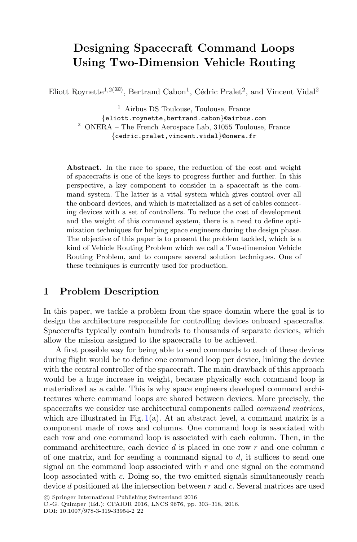# **Designing Spacecraft Command Loops Using Two-Dimension Vehicle Routing**

Eliott Roynette<sup>1,2( $\boxtimes$ )</sup>, Bertrand Cabon<sup>1</sup>, Cédric Pralet<sup>2</sup>, and Vincent Vidal<sup>2</sup>

<sup>1</sup> Airbus DS Toulouse, Toulouse, France<br>{eliott.roynette,bertrand.cabon}@airbus.com  $2$  ONERA – The French Aerospace Lab, 31055 Toulouse, France {cedric.pralet,vincent.vidal}@onera.fr

**Abstract.** In the race to space, the reduction of the cost and weight of spacecrafts is one of the keys to progress further and further. In this perspective, a key component to consider in a spacecraft is the command system. The latter is a vital system which gives control over all the onboard devices, and which is materialized as a set of cables connecting devices with a set of controllers. To reduce the cost of development and the weight of this command system, there is a need to define optimization techniques for helping space engineers during the design phase. The objective of this paper is to present the problem tackled, which is a kind of Vehicle Routing Problem which we call a Two-dimension Vehicle Routing Problem, and to compare several solution techniques. One of these techniques is currently used for production.

## **1 Problem Description**

In this paper, we tackle a problem from the space domain where the goal is to design the architecture responsible for controlling devices onboard spacecrafts. Spacecrafts typically contain hundreds to thousands of separate devices, which allow the mission assigned to the spacecrafts to be achieved.

A first possible way for being able to send commands to each of these devices during flight would be to define one command loop per device, linking the device with the central controller of the spacecraft. The main drawback of this approach would be a huge increase in weight, because physically each command loop is materialized as a cable. This is why space engineers developed command architectures where command loops are shared between devices. More precisely, the spacecrafts we consider use architectural components called *command matrices*, which are illustrated in Fig.  $1(a)$  $1(a)$ . At an abstract level, a command matrix is a component made of rows and columns. One command loop is associated with each row and one command loop is associated with each column. Then, in the command architecture, each device  $d$  is placed in one row  $r$  and one column  $c$ of one matrix, and for sending a command signal to  $d$ , it suffices to send one signal on the command loop associated with  $r$  and one signal on the command loop associated with c. Doing so, the two emitted signals simultaneously reach device  $d$  positioned at the intersection between  $r$  and  $c$ . Several matrices are used

-c Springer International Publishing Switzerland 2016

C.-G. Quimper (Ed.): CPAIOR 2016, LNCS 9676, pp. 303–318, 2016.

DOI: 10.1007/978-3-319-33954-2 22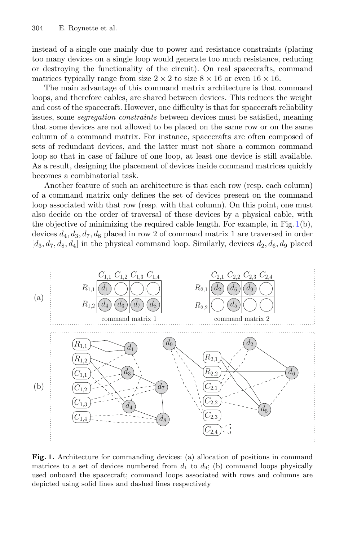instead of a single one mainly due to power and resistance constraints (placing too many devices on a single loop would generate too much resistance, reducing or destroying the functionality of the circuit). On real spacecrafts, command matrices typically range from size  $2 \times 2$  to size  $8 \times 16$  or even  $16 \times 16$ .

The main advantage of this command matrix architecture is that command loops, and therefore cables, are shared between devices. This reduces the weight and cost of the spacecraft. However, one difficulty is that for spacecraft reliability issues, some *segregation constraints* between devices must be satisfied, meaning that some devices are not allowed to be placed on the same row or on the same column of a command matrix. For instance, spacecrafts are often composed of sets of redundant devices, and the latter must not share a common command loop so that in case of failure of one loop, at least one device is still available. As a result, designing the placement of devices inside command matrices quickly becomes a combinatorial task.

Another feature of such an architecture is that each row (resp. each column) of a command matrix only defines the set of devices present on the command loop associated with that row (resp. with that column). On this point, one must also decide on the order of traversal of these devices by a physical cable, with the objective of minimizing the required cable length. For example, in Fig.  $1(b)$  $1(b)$ , devices  $d_4, d_3, d_7, d_8$  placed in row 2 of command matrix 1 are traversed in order  $[d_3, d_7, d_8, d_4]$  in the physical command loop. Similarly, devices  $d_2, d_6, d_9$  placed



<span id="page-1-0"></span>**Fig. 1.** Architecture for commanding devices: (a) allocation of positions in command matrices to a set of devices numbered from  $d_1$  to  $d_9$ ; (b) command loops physically used onboard the spacecraft; command loops associated with rows and columns are depicted using solid lines and dashed lines respectively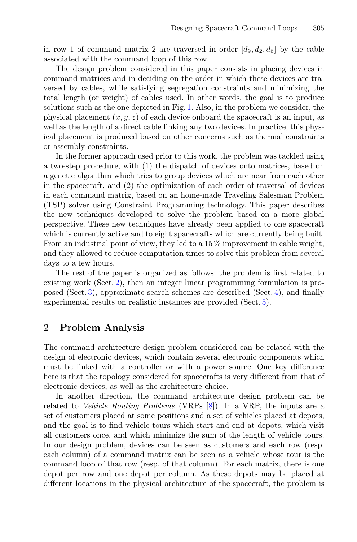in row 1 of command matrix 2 are traversed in order  $[d_9, d_2, d_6]$  by the cable associated with the command loop of this row.

The design problem considered in this paper consists in placing devices in command matrices and in deciding on the order in which these devices are traversed by cables, while satisfying segregation constraints and minimizing the total length (or weight) of cables used. In other words, the goal is to produce solutions such as the one depicted in Fig. [1.](#page-1-0) Also, in the problem we consider, the physical placement  $(x, y, z)$  of each device onboard the spacecraft is an input, as well as the length of a direct cable linking any two devices. In practice, this physical placement is produced based on other concerns such as thermal constraints or assembly constraints.

In the former approach used prior to this work, the problem was tackled using a two-step procedure, with (1) the dispatch of devices onto matrices, based on a genetic algorithm which tries to group devices which are near from each other in the spacecraft, and (2) the optimization of each order of traversal of devices in each command matrix, based on an home-made Traveling Salesman Problem (TSP) solver using Constraint Programming technology. This paper describes the new techniques developed to solve the problem based on a more global perspective. These new techniques have already been applied to one spacecraft which is currently active and to eight spacecrafts which are currently being built. From an industrial point of view, they led to a 15 % improvement in cable weight, and they allowed to reduce computation times to solve this problem from several days to a few hours.

The rest of the paper is organized as follows: the problem is first related to existing work (Sect. [2\)](#page-2-0), then an integer linear programming formulation is proposed (Sect. [3\)](#page-3-0), approximate search schemes are described (Sect. [4\)](#page-7-0), and finally experimental results on realistic instances are provided (Sect. [5\)](#page-12-0).

## <span id="page-2-0"></span>**2 Problem Analysis**

The command architecture design problem considered can be related with the design of electronic devices, which contain several electronic components which must be linked with a controller or with a power source. One key difference here is that the topology considered for spacecrafts is very different from that of electronic devices, as well as the architecture choice.

In another direction, the command architecture design problem can be related to *Vehicle Routing Problems* (VRPs [\[8\]](#page-15-0)). In a VRP, the inputs are a set of customers placed at some positions and a set of vehicles placed at depots, and the goal is to find vehicle tours which start and end at depots, which visit all customers once, and which minimize the sum of the length of vehicle tours. In our design problem, devices can be seen as customers and each row (resp. each column) of a command matrix can be seen as a vehicle whose tour is the command loop of that row (resp. of that column). For each matrix, there is one depot per row and one depot per column. As these depots may be placed at different locations in the physical architecture of the spacecraft, the problem is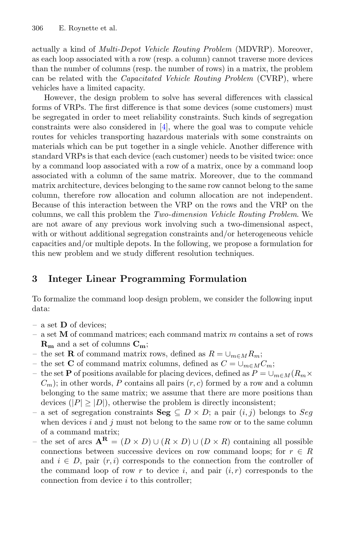actually a kind of *Multi-Depot Vehicle Routing Problem* (MDVRP). Moreover, as each loop associated with a row (resp. a column) cannot traverse more devices than the number of columns (resp. the number of rows) in a matrix, the problem can be related with the *Capacitated Vehicle Routing Problem* (CVRP), where vehicles have a limited capacity.

However, the design problem to solve has several differences with classical forms of VRPs. The first difference is that some devices (some customers) must be segregated in order to meet reliability constraints. Such kinds of segregation constraints were also considered in  $[4]$  $[4]$ , where the goal was to compute vehicle routes for vehicles transporting hazardous materials with some constraints on materials which can be put together in a single vehicle. Another difference with standard VRPs is that each device (each customer) needs to be visited twice: once by a command loop associated with a row of a matrix, once by a command loop associated with a column of the same matrix. Moreover, due to the command matrix architecture, devices belonging to the same row cannot belong to the same column, therefore row allocation and column allocation are not independent. Because of this interaction between the VRP on the rows and the VRP on the columns, we call this problem the *Two-dimension Vehicle Routing Problem*. We are not aware of any previous work involving such a two-dimensional aspect, with or without additional segregation constraints and/or heterogeneous vehicle capacities and/or multiple depots. In the following, we propose a formulation for this new problem and we study different resolution techniques.

## <span id="page-3-0"></span>**3 Integer Linear Programming Formulation**

To formalize the command loop design problem, we consider the following input data:

- a set **D** of devices;
- a set **M** of command matrices; each command matrix m contains a set of rows **R<sup>m</sup>** and a set of columns **Cm**;
- the set **R** of command matrix rows, defined as  $R = ∪_{m ∈ M} R_m$ ;
- the set **C** of command matrix columns, defined as  $C = \bigcup_{m \in M} C_m$ ;
- the set **P** of positions available for placing devices, defined as P = ∪*<sup>m</sup>*∈*<sup>M</sup>*(R*m*×  $(C_m)$ ; in other words, P contains all pairs  $(r, c)$  formed by a row and a column belonging to the same matrix; we assume that there are more positions than devices  $(|P| \geq |D|)$ , otherwise the problem is directly inconsistent;
- a set of segregation constraints **Seg** ⊆ D × D; a pair (i, j) belongs to Seg when devices  $i$  and  $j$  must not belong to the same row or to the same column of a command matrix;
- the set of arcs **<sup>A</sup><sup>R</sup>** = (<sup>D</sup> <sup>×</sup> <sup>D</sup>) <sup>∪</sup> (<sup>R</sup> <sup>×</sup> <sup>D</sup>) <sup>∪</sup> (<sup>D</sup> <sup>×</sup> <sup>R</sup>) containing all possible connections between successive devices on row command loops; for  $r \in R$ and  $i \in D$ , pair  $(r, i)$  corresponds to the connection from the controller of the command loop of row r to device i, and pair  $(i, r)$  corresponds to the connection from device i to this controller;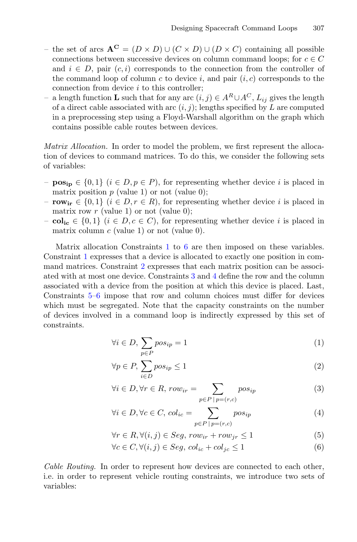- the set of arcs **<sup>A</sup><sup>C</sup>** = (<sup>D</sup> <sup>×</sup> <sup>D</sup>) <sup>∪</sup> (<sup>C</sup> <sup>×</sup> <sup>D</sup>) <sup>∪</sup> (<sup>D</sup> <sup>×</sup> <sup>C</sup>) containing all possible connections between successive devices on column command loops; for  $c \in C$ and  $i \in D$ , pair  $(c, i)$  corresponds to the connection from the controller of the command loop of column c to device i, and pair  $(i, c)$  corresponds to the connection from device  $i$  to this controller;
- a length function **L** such that for any arc  $(i, j)$  ∈  $A^R \cup A^C$ ,  $L_{ij}$  gives the length of a direct cable associated with arc  $(i, j)$ ; lengths specified by L are computed in a preprocessing step using a Floyd-Warshall algorithm on the graph which contains possible cable routes between devices.

*Matrix Allocation.* In order to model the problem, we first represent the allocation of devices to command matrices. To do this, we consider the following sets of variables:

- $-$  **pos**<sub>ip</sub>  $\in \{0,1\}$  ( $i \in D, p \in P$ ), for representing whether device i is placed in matrix position  $p$  (value 1) or not (value 0);
- **row**<sub>ir</sub> ∈ {0, 1} (*i* ∈ *D*, *r* ∈ *R*), for representing whether device *i* is placed in matrix row  $r$  (value 1) or not (value 0);
- **colic** ∈ {0, 1} (i ∈ D, c ∈ C), for representing whether device i is placed in matrix column  $c$  (value 1) or not (value 0).

Matrix allocation Constraints [1](#page-4-0) to [6](#page-4-1) are then imposed on these variables. Constraint [1](#page-4-0) expresses that a device is allocated to exactly one position in command matrices. Constraint [2](#page-4-2) expresses that each matrix position can be associated with at most one device. Constraints [3](#page-4-3) and [4](#page-4-4) define the row and the column associated with a device from the position at which this device is placed. Last, Constraints [5](#page-4-5)[–6](#page-4-1) impose that row and column choices must differ for devices which must be segregated. Note that the capacity constraints on the number of devices involved in a command loop is indirectly expressed by this set of constraints.

<span id="page-4-2"></span><span id="page-4-0"></span>
$$
\forall i \in D, \sum_{p \in P} pos_{ip} = 1 \tag{1}
$$

<span id="page-4-3"></span>
$$
\forall p \in P, \sum_{i \in D} pos_{ip} \le 1 \tag{2}
$$

<span id="page-4-4"></span>
$$
\forall i \in D, \forall r \in R, row_{ir} = \sum_{p \in P \mid p = (r, c)} pos_{ip}
$$
(3)

$$
\forall i \in D, \forall c \in C, \, col_{ic} = \sum_{p \in P \, | \, p = (r, c)} \, pos_{ip} \tag{4}
$$

<span id="page-4-5"></span><span id="page-4-1"></span>
$$
\forall r \in R, \forall (i, j) \in Seg, row_{ir} + row_{jr} \le 1 \tag{5}
$$

$$
\forall c \in C, \forall (i, j) \in Seg, col_{ic} + col_{jc} \le 1 \tag{6}
$$

*Cable Routing.* In order to represent how devices are connected to each other, i.e. in order to represent vehicle routing constraints, we introduce two sets of variables: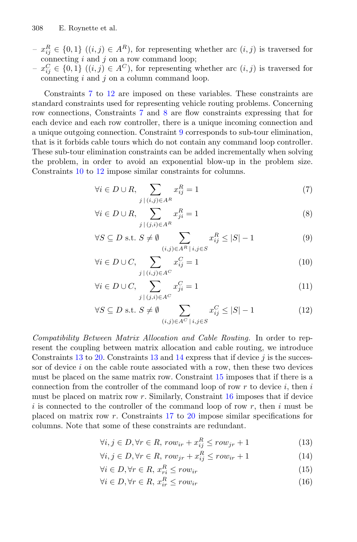- $x_{ij}^R \in \{0,1\}$  ((*i*, *j*)  $\in$  *A*<sup>*R*</sup>), for representing whether arc (*i*, *j*) is traversed for connecting  $i$  and  $j$  on a row command loop;
- $x<sub>ij</sub><sup>C</sup> ∈ {0,1} ((i,j) ∈ A<sup>C</sup>),$  for representing whether arc  $(i,j)$  is traversed for connecting  $i$  and  $j$  on a column command loop.

Constraints [7](#page-5-0) to [12](#page-5-0) are imposed on these variables. These constraints are standard constraints used for representing vehicle routing problems. Concerning row connections, Constraints [7](#page-5-0) and [8](#page-5-0) are flow constraints expressing that for each device and each row controller, there is a unique incoming connection and a unique outgoing connection. Constraint [9](#page-5-0) corresponds to sub-tour elimination, that is it forbids cable tours which do not contain any command loop controller. These sub-tour elimination constraints can be added incrementally when solving the problem, in order to avoid an exponential blow-up in the problem size. Constraints [10](#page-5-0) to [12](#page-5-0) impose similar constraints for columns.

<span id="page-5-0"></span>
$$
\forall i \in D \cup R, \sum_{j \mid (i,j) \in A^R} x_{ij}^R = 1 \tag{7}
$$

$$
\forall i \in D \cup R, \sum_{j \mid (j,i) \in A^R} x_{ji}^R = 1 \tag{8}
$$

$$
\forall S \subseteq D \text{ s.t. } S \neq \emptyset \sum_{(i,j)\in A^R \mid i,j\in S} x_{ij}^R \leq |S| - 1 \tag{9}
$$

$$
\forall i \in D \cup C, \sum_{j \mid (i,j) \in A^C} x_{ij}^C = 1 \tag{10}
$$

$$
\forall i \in D \cup C, \sum_{j \mid (j,i) \in A^C} x_{ji}^C = 1 \tag{11}
$$

$$
\forall S \subseteq D \text{ s.t. } S \neq \emptyset \sum_{(i,j) \in A^C \mid i,j \in S} x_{ij}^C \leq |S| - 1 \tag{12}
$$

*Compatibility Between Matrix Allocation and Cable Routing.* In order to represent the coupling between matrix allocation and cable routing, we introduce Constraints [13](#page-5-1) to [20.](#page-5-1) Constraints 13 and [14](#page-5-1) express that if device  $j$  is the successor of device i on the cable route associated with a row, then these two devices must be placed on the same matrix row. Constraint [15](#page-5-1) imposes that if there is a connection from the controller of the command loop of row  $r$  to device  $i$ , then  $i$ must be placed on matrix row r. Similarly, Constraint [16](#page-5-1) imposes that if device i is connected to the controller of the command loop of row  $r$ , then i must be placed on matrix row r. Constraints [17](#page-5-1) to [20](#page-5-1) impose similar specifications for columns. Note that some of these constraints are redundant.

<span id="page-5-1"></span>
$$
\forall i, j \in D, \forall r \in R, row_{ir} + x_{ij}^R \le row_{jr} + 1 \tag{13}
$$

$$
\forall i, j \in D, \forall r \in R, row_{jr} + x_{ij}^R \le row_{ir} + 1 \tag{14}
$$

$$
\forall i \in D, \forall r \in R, \, x_{ri}^R \leq row_{ir} \tag{15}
$$

$$
\forall i \in D, \forall r \in R, x_{ir}^R \le row_{ir} \tag{16}
$$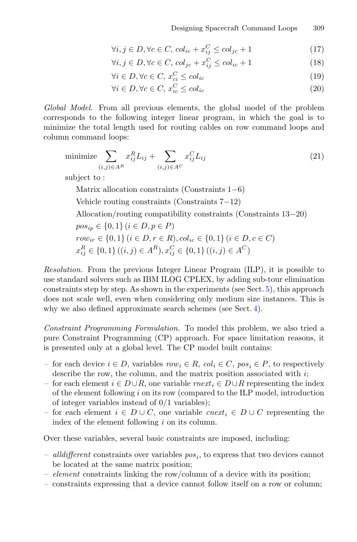$$
\forall i, j \in D, \forall c \in C, \, col_{ic} + x_{ij}^C \leq col_{jc} + 1 \tag{17}
$$

$$
\forall i, j \in D, \forall c \in C, \, col_{jc} + x_{ij}^C \leq col_{ic} + 1 \tag{18}
$$

$$
\forall i \in D, \forall c \in C, x_{ci}^C \leq col_{ic} \tag{19}
$$

$$
\forall i \in D, \forall c \in C, \, x_{ic}^C \leq col_{ic} \tag{20}
$$

<span id="page-6-0"></span>*Global Model.* From all previous elements, the global model of the problem corresponds to the following integer linear program, in which the goal is to minimize the total length used for routing cables on row command loops and column command loops:

$$
\text{minimize} \sum_{(i,j)\in A^R} x_{ij}^R L_{ij} + \sum_{(i,j)\in A^C} x_{ij}^C L_{ij} \tag{21}
$$

subject to :

Matrix allocation constraints (Constraints 1−6) Vehicle routing constraints (Constraints 7−12)

Allocation/routing compatibility constraints (Constraints 13−20)

 $pos_{in} \in \{0, 1\}$  ( $i \in D, p \in P$ )

$$
row_{ir} \in \{0, 1\} \ (i \in D, r \in R), col_{ic} \in \{0, 1\} \ (i \in D, c \in C)
$$

$$
x_{ij}^R \in \{0, 1\} \ ((i, j) \in A^R), x_{ij}^C \in \{0, 1\} \ ((i, j) \in A^C)
$$

*Resolution.* From the previous Integer Linear Program (ILP), it is possible to use standard solvers such as IBM ILOG CPLEX, by adding sub-tour elimination constraints step by step. As shown in the experiments (see Sect. [5\)](#page-12-0), this approach does not scale well, even when considering only medium size instances. This is why we also defined approximate search schemes (see Sect. [4\)](#page-7-0).

*Constraint Programming Formulation.* To model this problem, we also tried a pure Constraint Programming (CP) approach. For space limitation reasons, it is presented only at a global level. The CP model built contains:

- for each device *i* ∈ D, variables  $row_i$  ∈ R,  $col_i$  ∈ C,  $pos_i$  ∈ P, to respectively describe the row, the column, and the matrix position associated with  $i$ ;
- for each element i ∈ D∪R, one variable *rnext <sup>i</sup>* ∈ D∪R representing the index of the element following  $i$  on its row (compared to the ILP model, introduction of integer variables instead of 0/1 variables);
- for each element  $i \in D \cup C$ , one variable *cnext*<sub>i</sub> ∈ D ∪ C representing the index of the element following  $i$  on its column.

Over these variables, several basic constraints are imposed, including:

- *alldifferent* constraints over variables *posi*, to express that two devices cannot be located at the same matrix position;
- *element* constraints linking the row/column of a device with its position;
- constraints expressing that a device cannot follow itself on a row or column;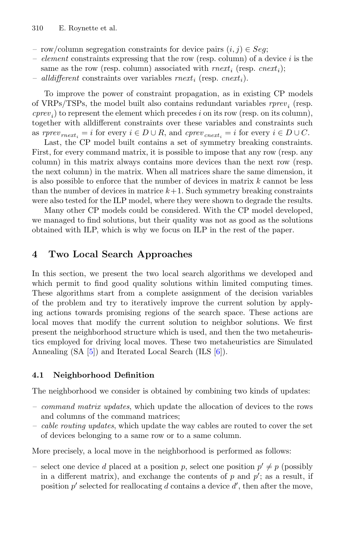- row/column segregation constraints for device pairs  $(i, j) \in Seg;$
- *element* constraints expressing that the row (resp. column) of a device i is the
- same as the row (resp. column) associated with  $mext_i$  (resp.  $cnext_i$ );
- $-$  *alldifferent* constraints over variables *rnext<sub>i</sub>* (resp. *cnext<sub>i</sub>*).

To improve the power of constraint propagation, as in existing CP models of VRPs/TSPs, the model built also contains redundant variables *rprev<sup>i</sup>* (resp.  $cprev<sub>i</sub>$ ) to represent the element which precedes i on its row (resp. on its column), together with alldifferent constraints over these variables and constraints such as  $rprev_{\text{next}_i} = i$  for every  $i \in D \cup R$ , and  $cprev_{\text{next}_i} = i$  for every  $i \in D \cup C$ .

Last, the CP model built contains a set of symmetry breaking constraints. First, for every command matrix, it is possible to impose that any row (resp. any column) in this matrix always contains more devices than the next row (resp. the next column) in the matrix. When all matrices share the same dimension, it is also possible to enforce that the number of devices in matrix  $k$  cannot be less than the number of devices in matrice  $k+1$ . Such symmetry breaking constraints were also tested for the ILP model, where they were shown to degrade the results.

Many other CP models could be considered. With the CP model developed, we managed to find solutions, but their quality was not as good as the solutions obtained with ILP, which is why we focus on ILP in the rest of the paper.

## <span id="page-7-0"></span>**4 Two Local Search Approaches**

In this section, we present the two local search algorithms we developed and which permit to find good quality solutions within limited computing times. These algorithms start from a complete assignment of the decision variables of the problem and try to iteratively improve the current solution by applying actions towards promising regions of the search space. These actions are local moves that modify the current solution to neighbor solutions. We first present the neighborhood structure which is used, and then the two metaheuristics employed for driving local moves. These two metaheuristics are Simulated Annealing (SA [\[5\]](#page-15-2)) and Iterated Local Search (ILS [\[6](#page-15-3)]).

#### <span id="page-7-1"></span>**4.1 Neighborhood Definition**

The neighborhood we consider is obtained by combining two kinds of updates:

- *command matrix updates*, which update the allocation of devices to the rows and columns of the command matrices;
- *cable routing updates*, which update the way cables are routed to cover the set of devices belonging to a same row or to a same column.

More precisely, a local move in the neighborhood is performed as follows:

– select one device d placed at a position p, select one position  $p' \neq p$  (possibly in a different matrix), and exchange the contents of  $p$  and  $p'$ ; as a result, if position  $p'$  selected for reallocating d contains a device  $d'$ , then after the move,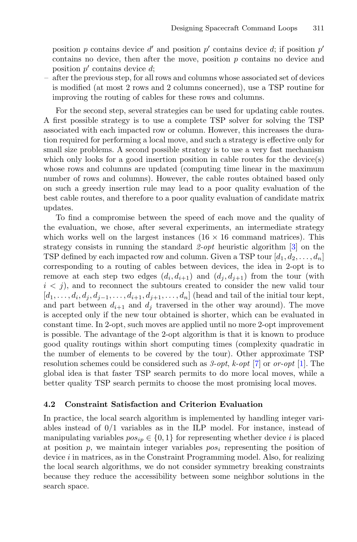position p contains device d' and position p' contains device d; if position  $p'$ contains no device, then after the move, position  $p$  contains no device and position  $p'$  contains device d;

– after the previous step, for all rows and columns whose associated set of devices is modified (at most 2 rows and 2 columns concerned), use a TSP routine for improving the routing of cables for these rows and columns.

For the second step, several strategies can be used for updating cable routes. A first possible strategy is to use a complete TSP solver for solving the TSP associated with each impacted row or column. However, this increases the duration required for performing a local move, and such a strategy is effective only for small size problems. A second possible strategy is to use a very fast mechanism which only looks for a good insertion position in cable routes for the device(s) whose rows and columns are updated (computing time linear in the maximum number of rows and columns). However, the cable routes obtained based only on such a greedy insertion rule may lead to a poor quality evaluation of the best cable routes, and therefore to a poor quality evaluation of candidate matrix updates.

To find a compromise between the speed of each move and the quality of the evaluation, we chose, after several experiments, an intermediate strategy which works well on the largest instances  $(16 \times 16 \text{ command matrices})$ . This strategy consists in running the standard *2-opt* heuristic algorithm [\[3\]](#page-15-4) on the TSP defined by each impacted row and column. Given a TSP tour  $[d_1, d_2, \ldots, d_n]$ corresponding to a routing of cables between devices, the idea in 2-opt is to remove at each step two edges  $(d_i, d_{i+1})$  and  $(d_j, d_{j+1})$  from the tour (with  $i < j$ , and to reconnect the subtours created to consider the new valid tour  $[d_1,\ldots,d_i,d_j,d_{j-1},\ldots,d_{i+1},d_{j+1},\ldots,d_n]$  (head and tail of the initial tour kept, and part between  $d_{i+1}$  and  $d_j$  traversed in the other way around). The move is accepted only if the new tour obtained is shorter, which can be evaluated in constant time. In 2-opt, such moves are applied until no more 2-opt improvement is possible. The advantage of the 2-opt algorithm is that it is known to produce good quality routings within short computing times (complexity quadratic in the number of elements to be covered by the tour). Other approximate TSP resolution schemes could be considered such as *3-opt*, *k-opt* [\[7\]](#page-15-5) or *or-opt* [\[1\]](#page-15-6). The global idea is that faster TSP search permits to do more local moves, while a better quality TSP search permits to choose the most promising local moves.

#### **4.2 Constraint Satisfaction and Criterion Evaluation**

In practice, the local search algorithm is implemented by handling integer variables instead of  $0/1$  variables as in the ILP model. For instance, instead of manipulating variables  $pos_{ip} \in \{0, 1\}$  for representing whether device i is placed at position  $p$ , we maintain integer variables  $pos<sub>i</sub>$  representing the position of device i in matrices, as in the Constraint Programming model. Also, for realizing the local search algorithms, we do not consider symmetry breaking constraints because they reduce the accessibility between some neighbor solutions in the search space.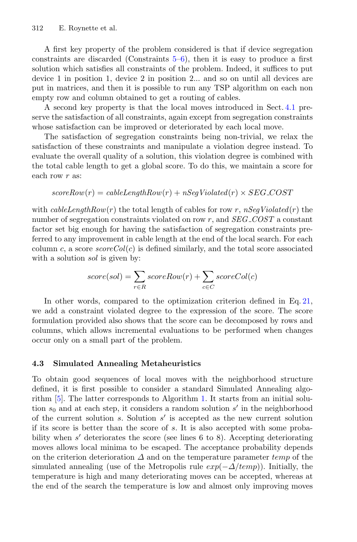A first key property of the problem considered is that if device segregation constraints are discarded (Constraints  $5-6$  $5-6$ ), then it is easy to produce a first solution which satisfies all constraints of the problem. Indeed, it suffices to put device 1 in position 1, device 2 in position 2... and so on until all devices are put in matrices, and then it is possible to run any TSP algorithm on each non empty row and column obtained to get a routing of cables.

A second key property is that the local moves introduced in Sect. [4.1](#page-7-1) preserve the satisfaction of all constraints, again except from segregation constraints whose satisfaction can be improved or deteriorated by each local move.

The satisfaction of segregation constraints being non-trivial, we relax the satisfaction of these constraints and manipulate a violation degree instead. To evaluate the overall quality of a solution, this violation degree is combined with the total cable length to get a global score. To do this, we maintain a score for each row r as:

$$
scoreRow(r) = cableLengthRow(r) + nSegViolated(r) \times SEG\_COST
$$

with *cableLengthRow*(r) the total length of cables for row r, *nSeqViolated*(r) the number of segregation constraints violated on row r, and *SEG COST* a constant factor set big enough for having the satisfaction of segregation constraints preferred to any improvement in cable length at the end of the local search. For each column c, a score  $\text{score}\text{Col}(c)$  is defined similarly, and the total score associated with a solution *sol* is given by:

$$
score(sol) = \sum_{r \in R} scoreRow(r) + \sum_{c \in C} scoreCol(c)
$$

In other words, compared to the optimization criterion defined in Eq. [21,](#page-6-0) we add a constraint violated degree to the expression of the score. The score formulation provided also shows that the score can be decomposed by rows and columns, which allows incremental evaluations to be performed when changes occur only on a small part of the problem.

#### **4.3 Simulated Annealing Metaheuristics**

To obtain good sequences of local moves with the neighborhood structure defined, it is first possible to consider a standard Simulated Annealing algorithm [\[5](#page-15-2)]. The latter corresponds to Algorithm [1.](#page-10-0) It starts from an initial solution  $s_0$  and at each step, it considers a random solution s' in the neighborhood of the current solution s. Solution  $s'$  is accepted as the new current solution if its score is better than the score of s. It is also accepted with some probability when s' deteriorates the score (see lines 6 to 8). Accepting deteriorating moves allows local minima to be escaped. The acceptance probability depends on the criterion deterioration  $\Delta$  and on the temperature parameter temp of the simulated annealing (use of the Metropolis rule  $exp(-\Delta/temp)$ ). Initially, the temperature is high and many deteriorating moves can be accepted, whereas at the end of the search the temperature is low and almost only improving moves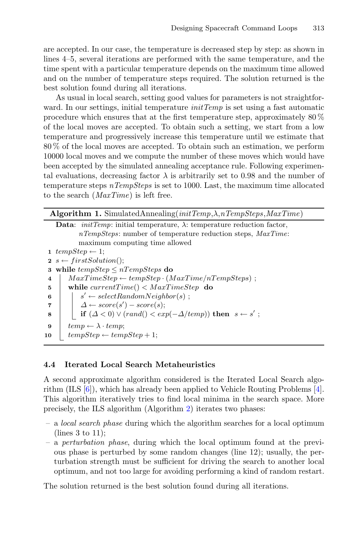are accepted. In our case, the temperature is decreased step by step: as shown in lines 4–5, several iterations are performed with the same temperature, and the time spent with a particular temperature depends on the maximum time allowed and on the number of temperature steps required. The solution returned is the best solution found during all iterations.

As usual in local search, setting good values for parameters is not straightforward. In our settings, initial temperature *initTemp* is set using a fast automatic procedure which ensures that at the first temperature step, approximately 80 % of the local moves are accepted. To obtain such a setting, we start from a low temperature and progressively increase this temperature until we estimate that 80 % of the local moves are accepted. To obtain such an estimation, we perform 10000 local moves and we compute the number of these moves which would have been accepted by the simulated annealing acceptance rule. Following experimental evaluations, decreasing factor  $\lambda$  is arbitrarily set to 0.98 and the number of temperature steps *nTempSteps* is set to 1000. Last, the maximum time allocated to the search (*MaxTime*) is left free.

**Algorithm 1.** SimulatedAnnealing(*initTemp*,λ,*nTempSteps*,*MaxTime*)

|                         | <b>Data:</b> initTemp: initial temperature, $\lambda$ : temperature reduction factor, |
|-------------------------|---------------------------------------------------------------------------------------|
|                         | $nTempSteps:$ number of temperature reduction steps, $MaxTime$ .                      |
|                         | maximum computing time allowed                                                        |
|                         | 1 tempStep $\leftarrow$ 1;                                                            |
|                         | $\mathbf{2} \ s \leftarrow firstSolution();$                                          |
|                         | 3 while $tempStep \leq nTempSteps$ do                                                 |
| $\overline{\mathbf{4}}$ | $MaxTimeStep \leftarrow tempStep \cdot (MaxTime/nTempSteps)$ ;                        |
| 5                       | while $currentTime() < MaxTimeStep$ do                                                |
| 6                       | $s' \leftarrow selectRandomNeighbour(s)$ ;                                            |
| 7                       | $\Delta \leftarrow score(s') - score(s);$                                             |
| 8                       | if $(\Delta < 0) \vee (rand() < exp(-\Delta / temp))$ then $s \leftarrow s'$ ;        |
| 9                       | $temp \leftarrow \lambda \cdot temp$                                                  |
| 10                      | $tempStep \leftarrow tempStep + 1;$                                                   |
|                         |                                                                                       |

### <span id="page-10-0"></span>**4.4 Iterated Local Search Metaheuristics**

A second approximate algorithm considered is the Iterated Local Search algorithm (ILS  $[6]$  $[6]$ ), which has already been applied to Vehicle Routing Problems  $[4]$ . This algorithm iteratively tries to find local minima in the search space. More precisely, the ILS algorithm (Algorithm [2\)](#page-11-0) iterates two phases:

- a *local search phase* during which the algorithm searches for a local optimum (lines 3 to 11);
- a *perturbation phase*, during which the local optimum found at the previous phase is perturbed by some random changes (line 12); usually, the perturbation strength must be sufficient for driving the search to another local optimum, and not too large for avoiding performing a kind of random restart.

The solution returned is the best solution found during all iterations.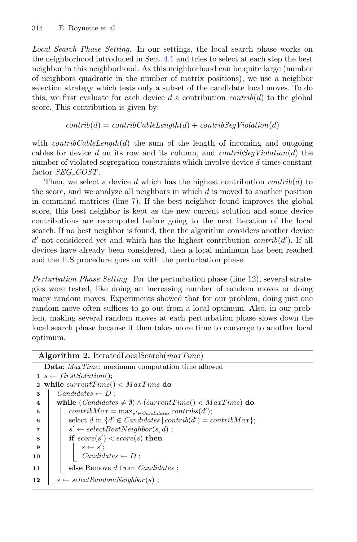*Local Search Phase Setting.* In our settings, the local search phase works on the neighborhood introduced in Sect. [4.1](#page-7-1) and tries to select at each step the best neighbor in this neighborhood. As this neighborhood can be quite large (number of neighbors quadratic in the number of matrix positions), we use a neighbor selection strategy which tests only a subset of the candidate local moves. To do this, we first evaluate for each device d a contribution  $\text{contribution}$  to the global score. This contribution is given by:

$$
contrib(d) = \operatorname{contribCableLength}(d) + \operatorname{contribSeg\,Violation}(d)
$$

with *contribCableLength*(d) the sum of the length of incoming and outgoing cables for device d on its row and its column, and *contribSegViolation*(d) the number of violated segregation constraints which involve device d times constant factor *SEG COST*.

Then, we select a device d which has the highest contribution  $contribution$ the score, and we analyze all neighbors in which  $d$  is moved to another position in command matrices (line 7). If the best neighbor found improves the global score, this best neighbor is kept as the new current solution and some device contributions are recomputed before going to the next iteration of the local search. If no best neighbor is found, then the algorithm considers another device  $d'$  not considered yet and which has the highest contribution *contrib* $(d')$ . If all devices have already been considered, then a local minimum has been reached and the ILS procedure goes on with the perturbation phase.

*Perturbation Phase Setting.* For the perturbation phase (line 12), several strategies were tested, like doing an increasing number of random moves or doing many random moves. Experiments showed that for our problem, doing just one random move often suffices to go out from a local optimum. Also, in our problem, making several random moves at each perturbation phase slows down the local search phase because it then takes more time to converge to another local optimum.

<span id="page-11-0"></span>

| <b>Algorithm 2.</b> Iterated Local Search $(maxTime)$ |                                                                       |  |
|-------------------------------------------------------|-----------------------------------------------------------------------|--|
| Data: MaxTime: maximum computation time allowed       |                                                                       |  |
|                                                       | $\mathbf{1} \ s \leftarrow firstSolution();$                          |  |
| 2 while $currentTime() < Maximum$ do                  |                                                                       |  |
| 3                                                     | $Candidates \leftarrow D$ ;                                           |  |
| $\overline{\mathbf{4}}$                               | while $(Candidates \neq \emptyset) \wedge (currentTime) < MaxTime$ do |  |
| 5                                                     | $contribMax = \max_{e' \in Candidate} contributes(t')$ ;              |  |
| 6                                                     | select d in $\{d' \in Candidates \mid contrib(d') = contribMax\};$    |  |
| 7                                                     | $s' \leftarrow selectBestNeighbour(s, d);$                            |  |
| 8                                                     | if $score(s') < score(s)$ then                                        |  |
| 9                                                     | $s \leftarrow s'$ :                                                   |  |
| 10                                                    | $C and idates \leftarrow D$ ;                                         |  |
| 11                                                    | else Remove d from <i>Candidates</i> ;                                |  |
| 12                                                    | $s \leftarrow selectRandomNeighbour(s)$ ;                             |  |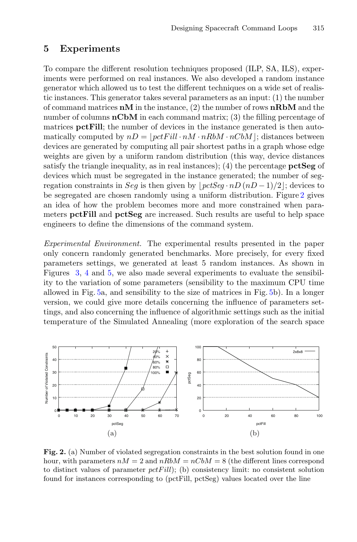### <span id="page-12-0"></span>**5 Experiments**

To compare the different resolution techniques proposed (ILP, SA, ILS), experiments were performed on real instances. We also developed a random instance generator which allowed us to test the different techniques on a wide set of realistic instances. This generator takes several parameters as an input: (1) the number of command matrices **nM** in the instance, (2) the number of rows **nRbM** and the number of columns **nCbM** in each command matrix; (3) the filling percentage of matrices **pctFill**; the number of devices in the instance generated is then automatically computed by  $nD = [petFill \cdot nM \cdot nRbM \cdot nCbM]$ ; distances between devices are generated by computing all pair shortest paths in a graph whose edge weights are given by a uniform random distribution (this way, device distances satisfy the triangle inequality, as in real instances); (4) the percentage **pctSeg** of devices which must be segregated in the instance generated; the number of segregation constraints in Seg is then given by *pctSeg* · nD (nD − 1)/2; devices to be segregated are chosen randomly using a uniform distribution. Figure [2](#page-12-1) gives an idea of how the problem becomes more and more constrained when parameters **pctFill** and **pctSeg** are increased. Such results are useful to help space engineers to define the dimensions of the command system.

*Experimental Environment.* The experimental results presented in the paper only concern randomly generated benchmarks. More precisely, for every fixed parameters settings, we generated at least 5 random instances. As shown in Figures [3,](#page-13-0) [4](#page-13-1) and [5,](#page-14-0) we also made several experiments to evaluate the sensibility to the variation of some parameters (sensibility to the maximum CPU time allowed in Fig. [5a](#page-14-0), and sensibility to the size of matrices in Fig. [5b](#page-14-0)). In a longer version, we could give more details concerning the influence of parameters settings, and also concerning the influence of algorithmic settings such as the initial temperature of the Simulated Annealing (more exploration of the search space



<span id="page-12-1"></span>**Fig. 2.** (a) Number of violated segregation constraints in the best solution found in one hour, with parameters  $nM = 2$  and  $nRbM = nCbM = 8$  (the different lines correspond to distinct values of parameter  $pctFill$ ; (b) consistency limit: no consistent solution found for instances corresponding to (pctFill, pctSeg) values located over the line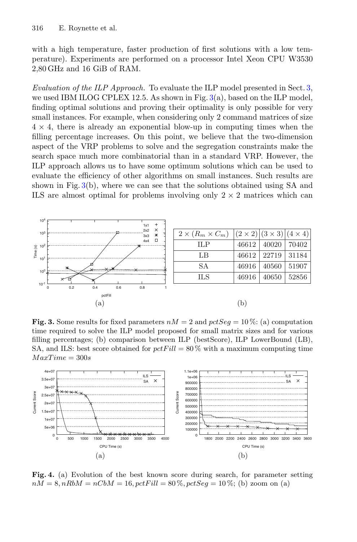with a high temperature, faster production of first solutions with a low temperature). Experiments are performed on a processor Intel Xeon CPU W3530 2,80 GHz and 16 GiB of RAM.

*Evaluation of the ILP Approach.* To evaluate the ILP model presented in Sect. [3,](#page-3-0) we used IBM ILOG CPLEX 12.5. As shown in Fig.  $3(a)$  $3(a)$ , based on the ILP model, finding optimal solutions and proving their optimality is only possible for very small instances. For example, when considering only 2 command matrices of size  $4 \times 4$ , there is already an exponential blow-up in computing times when the filling percentage increases. On this point, we believe that the two-dimension aspect of the VRP problems to solve and the segregation constraints make the search space much more combinatorial than in a standard VRP. However, the ILP approach allows us to have some optimum solutions which can be used to evaluate the efficiency of other algorithms on small instances. Such results are shown in Fig.  $3(b)$  $3(b)$ , where we can see that the solutions obtained using SA and ILS are almost optimal for problems involving only  $2 \times 2$  matrices which can



<span id="page-13-0"></span>**Fig. 3.** Some results for fixed parameters  $nM = 2$  and  $pctSeg = 10\%$ : (a) computation time required to solve the ILP model proposed for small matrix sizes and for various filling percentages; (b) comparison between ILP (bestScore), ILP LowerBound (LB), SA, and ILS: best score obtained for  $petFill = 80\%$  with a maximum computing time  $MaxTime = 300s$ 



<span id="page-13-1"></span>**Fig. 4.** (a) Evolution of the best known score during search, for parameter setting  $nM = 8, nRbM = nCbM = 16, pctFill = 80\%, pctSeq = 10\%;$  (b) zoom on (a)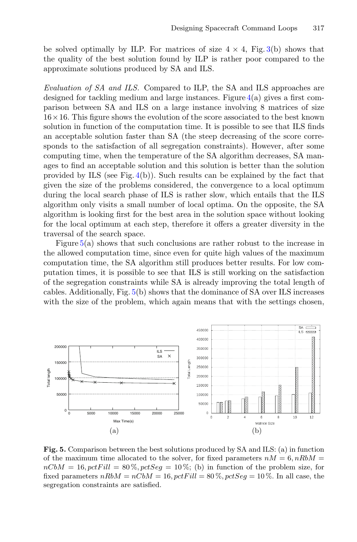be solved optimally by ILP. For matrices of size  $4 \times 4$ , Fig. [3\(](#page-13-0)b) shows that the quality of the best solution found by ILP is rather poor compared to the approximate solutions produced by SA and ILS.

*Evaluation of SA and ILS.* Compared to ILP, the SA and ILS approaches are designed for tackling medium and large instances. Figure  $4(a)$  $4(a)$  gives a first comparison between SA and ILS on a large instance involving 8 matrices of size  $16 \times 16$ . This figure shows the evolution of the score associated to the best known solution in function of the computation time. It is possible to see that ILS finds an acceptable solution faster than SA (the steep decreasing of the score corresponds to the satisfaction of all segregation constraints). However, after some computing time, when the temperature of the SA algorithm decreases, SA manages to find an acceptable solution and this solution is better than the solution provided by ILS (see Fig.  $4(b)$  $4(b)$ ). Such results can be explained by the fact that given the size of the problems considered, the convergence to a local optimum during the local search phase of ILS is rather slow, which entails that the ILS algorithm only visits a small number of local optima. On the opposite, the SA algorithm is looking first for the best area in the solution space without looking for the local optimum at each step, therefore it offers a greater diversity in the traversal of the search space.

Figure  $5(a)$  $5(a)$  shows that such conclusions are rather robust to the increase in the allowed computation time, since even for quite high values of the maximum computation time, the SA algorithm still produces better results. For low computation times, it is possible to see that ILS is still working on the satisfaction of the segregation constraints while SA is already improving the total length of cables. Additionally, Fig. [5\(](#page-14-0)b) shows that the dominance of SA over ILS increases with the size of the problem, which again means that with the settings chosen,



<span id="page-14-0"></span>**Fig. 5.** Comparison between the best solutions produced by SA and ILS: (a) in function of the maximum time allocated to the solver, for fixed parameters  $nM = 6, nRbM$  $nCbM = 16, petFill = 80\%, petSeq = 10\%$ ; (b) in function of the problem size, for fixed parameters  $nRbM = nCbM = 16, pctFill = 80\%$ ,  $pctSeq = 10\%$ . In all case, the segregation constraints are satisfied.